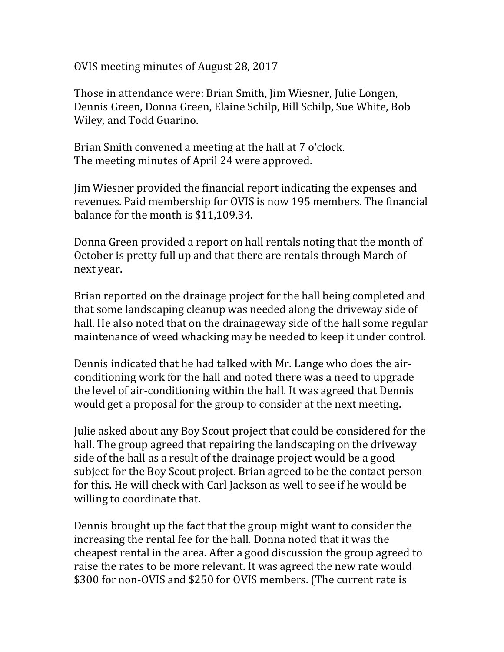OVIS meeting minutes of August 28, 2017

Those in attendance were: Brian Smith, Jim Wiesner, Julie Longen, Dennis Green, Donna Green, Elaine Schilp, Bill Schilp, Sue White, Bob Wiley, and Todd Guarino.

Brian Smith convened a meeting at the hall at 7 o'clock. The meeting minutes of April 24 were approved.

Jim Wiesner provided the financial report indicating the expenses and revenues. Paid membership for OVIS is now 195 members. The financial balance for the month is \$11,109.34.

Donna Green provided a report on hall rentals noting that the month of October is pretty full up and that there are rentals through March of next year.

Brian reported on the drainage project for the hall being completed and that some landscaping cleanup was needed along the driveway side of hall. He also noted that on the drainageway side of the hall some regular maintenance of weed whacking may be needed to keep it under control.

Dennis indicated that he had talked with Mr. Lange who does the airconditioning work for the hall and noted there was a need to upgrade the level of air-conditioning within the hall. It was agreed that Dennis would get a proposal for the group to consider at the next meeting.

Julie asked about any Boy Scout project that could be considered for the hall. The group agreed that repairing the landscaping on the driveway side of the hall as a result of the drainage project would be a good subject for the Boy Scout project. Brian agreed to be the contact person for this. He will check with Carl Jackson as well to see if he would be willing to coordinate that.

Dennis brought up the fact that the group might want to consider the increasing the rental fee for the hall. Donna noted that it was the cheapest rental in the area. After a good discussion the group agreed to raise the rates to be more relevant. It was agreed the new rate would \$300 for non-OVIS and \$250 for OVIS members. (The current rate is